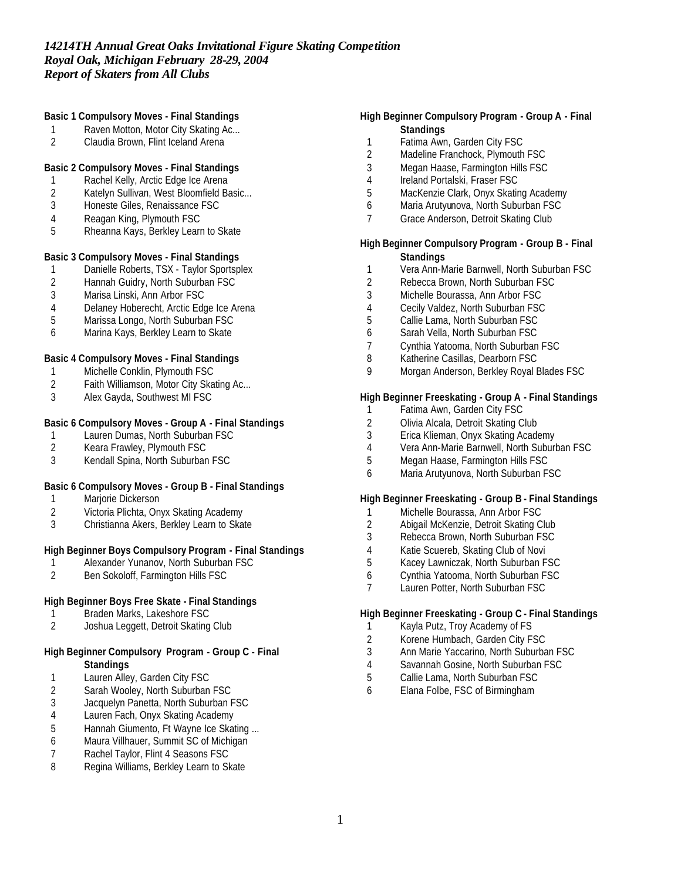### **Basic 1 Compulsory Moves - Final Standings**

- 1 Raven Motton, Motor City Skating Ac...<br>2 Claudia Brown, Flint Iceland Arena
- Claudia Brown, Flint Iceland Arena

## **Basic 2 Compulsory Moves - Final Standings**

- 
- 1 Rachel Kelly, Arctic Edge Ice Arena<br>2 Katelyn Sullivan, West Bloomfield Ba 2 Katelyn Sullivan, West Bloomfield Basic...<br>3 Honeste Giles, Renaissance FSC
- 3 Honeste Giles, Renaissance FSC
- 4 Reagan King, Plymouth FSC
- 5 Rheanna Kays, Berkley Learn to Skate

## **Basic 3 Compulsory Moves - Final Standings**

- 1 Danielle Roberts, TSX Taylor Sportsplex
- 2 Hannah Guidry, North Suburban FSC
- 3 Marisa Linski, Ann Arbor FSC
- 4 Delaney Hoberecht, Arctic Edge Ice Arena
- 5 Marissa Longo, North Suburban FSC
- 6 Marina Kays, Berkley Learn to Skate

#### **Basic 4 Compulsory Moves - Final Standings**

- 1 Michelle Conklin, Plymouth FSC
- 2 Faith Williamson, Motor City Skating Ac...<br>3 Alex Gavda. Southwest MI FSC
- Alex Gayda, Southwest MI FSC

### **Basic 6 Compulsory Moves - Group A - Final Standings**

- 1 Lauren Dumas, North Suburban FSC<br>2 Keara Frawley, Plymouth FSC
- 2 Keara Frawley, Plymouth FSC<br>3 Kendall Spina, North Suburban
- Kendall Spina, North Suburban FSC

#### **Basic 6 Compulsory Moves - Group B - Final Standings**

- 1 Marjorie Dickerson
- 2 Victoria Plichta, Onyx Skating Academy
- 3 Christianna Akers, Berkley Learn to Skate

## **High Beginner Boys Compulsory Program - Final Standings**

- 1 Alexander Yunanov, North Suburban FSC<br>2 Ben Sokoloff, Farmington Hills FSC
- 2 Ben Sokoloff, Farmington Hills FSC

# **High Beginner Boys Free Skate - Final Standings**

- 1 Braden Marks, Lakeshore FSC
- 2 Joshua Leggett, Detroit Skating Club

### **High Beginner Compulsory Program - Group C - Final Standings**

- 1 Lauren Alley, Garden City FSC
- 2 Sarah Wooley, North Suburban FSC<br>3 Jacquelyn Panetta, North Suburban F
- Jacquelyn Panetta, North Suburban FSC
- 4 Lauren Fach, Onyx Skating Academy
- 5 Hannah Giumento, Ft Wayne Ice Skating ...
- 6 Maura Villhauer, Summit SC of Michigan
- 7 Rachel Taylor, Flint 4 Seasons FSC
- 8 Regina Williams, Berkley Learn to Skate

### **High Beginner Compulsory Program - Group A - Final Standings**

- 1 Fatima Awn, Garden City FSC<br>2 Madeline Franchock. Plymouth
- 2 Madeline Franchock, Plymouth FSC
- 3 Megan Haase, Farmington Hills FSC
- 4 Ireland Portalski, Fraser FSC
- 5 MacKenzie Clark, Onyx Skating Academy
- 6 Maria Arutyunova, North Suburban FSC
- 7 Grace Anderson, Detroit Skating Club

### **High Beginner Compulsory Program - Group B - Final Standings**

- 1 Vera Ann-Marie Barnwell, North Suburban FSC
- 2 Rebecca Brown, North Suburban FSC
- 3 Michelle Bourassa, Ann Arbor FSC
- 4 Cecily Valdez, North Suburban FSC
- 5 Callie Lama, North Suburban FSC
- 6 Sarah Vella, North Suburban FSC
- 7 Cynthia Yatooma, North Suburban FSC
- 8 Katherine Casillas, Dearborn FSC
- 9 Morgan Anderson, Berkley Royal Blades FSC

## **High Beginner Freeskating - Group A - Final Standings**

- 1 Fatima Awn, Garden City FSC
- 2 Olivia Alcala, Detroit Skating Club
- 3 Erica Klieman, Onyx Skating Academy
- 4 Vera Ann-Marie Barnwell, North Suburban FSC
- 5 Megan Haase, Farmington Hills FSC
- 6 Maria Arutyunova, North Suburban FSC

### **High Beginner Freeskating - Group B - Final Standings**

- 1 Michelle Bourassa, Ann Arbor FSC
- 2 Abigail McKenzie, Detroit Skating Club
- 3 Rebecca Brown, North Suburban FSC
- 4 Katie Scuereb, Skating Club of Novi<br>5 Kacey Lawniczak, North Suburban F
- 5 Kacey Lawniczak, North Suburban FSC
- 6 Cynthia Yatooma, North Suburban FSC
- 7 Lauren Potter, North Suburban FSC

### **High Beginner Freeskating - Group C - Final Standings**

- 1 Kayla Putz, Troy Academy of FS
- 2 Korene Humbach, Garden City FSC
- 3 Ann Marie Yaccarino, North Suburban FSC
- 4 Savannah Gosine, North Suburban FSC
- 5 Callie Lama, North Suburban FSC
- 6 Elana Folbe, FSC of Birmingham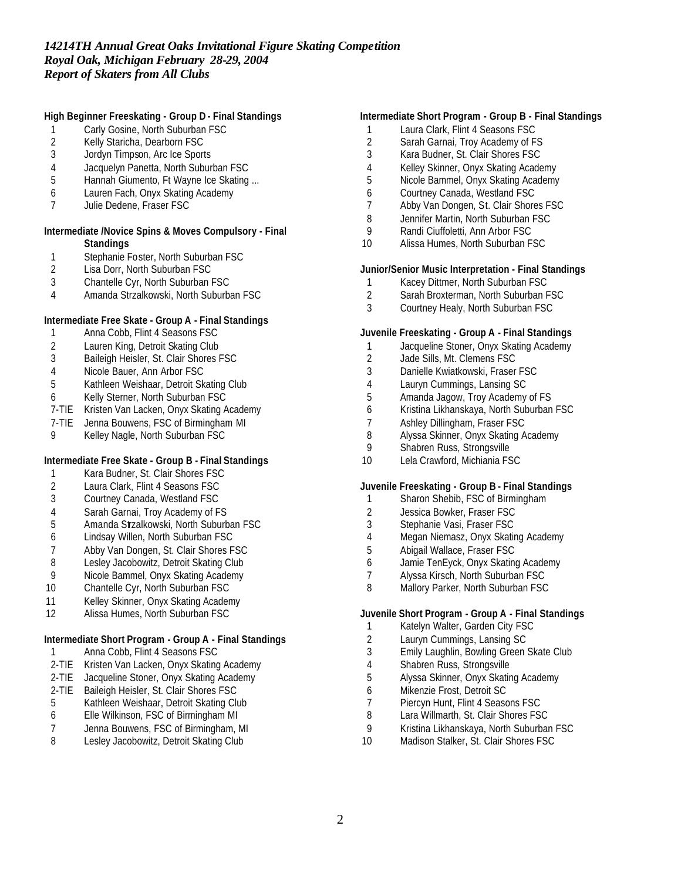## **High Beginner Freeskating - Group D - Final Standings**

- 1 Carly Gosine, North Suburban FSC
- 2 Kelly Staricha, Dearborn FSC<br>3 Jordyn Timpson, Arc Ice Sport
- Jordyn Timpson, Arc Ice Sports
- 4 Jacquelyn Panetta, North Suburban FSC
- Hannah Giumento, Ft Wayne Ice Skating ...
- 6 Lauren Fach, Onyx Skating Academy
- 7 Julie Dedene, Fraser FSC

### **Intermediate /Novice Spins & Moves Compulsory - Final Standings**

- 1 Stephanie Foster, North Suburban FSC<br>2 Lisa Dorr, North Suburban FSC
- 2 Lisa Dorr, North Suburban FSC<br>3 Chantelle Cvr. North Suburban F
- 3 Chantelle Cyr, North Suburban FSC
- 4 Amanda Strzalkowski, North Suburban FSC

## **Intermediate Free Skate - Group A - Final Standings**

- 1 Anna Cobb, Flint 4 Seasons FSC
- 2 Lauren King, Detroit Skating Club
- 3 Baileigh Heisler, St. Clair Shores FSC<br>4 Nicole Bauer. Ann Arbor FSC
- Nicole Bauer, Ann Arbor FSC
- 5 Kathleen Weishaar, Detroit Skating Club
- 6 Kelly Sterner, North Suburban FSC
- 7-TIE Kristen Van Lacken, Onyx Skating Academy
- 7-TIE Jenna Bouwens, FSC of Birmingham MI
- 9 Kelley Nagle, North Suburban FSC

## **Intermediate Free Skate - Group B - Final Standings**

- 1 Kara Budner, St. Clair Shores FSC<br>2 Laura Clark, Flint 4 Seasons FSC
- 2 Laura Clark, Flint 4 Seasons FSC<br>3 Courtney Canada, Westland FSC
- 3 Courtney Canada, Westland FSC
- 4 Sarah Garnai, Troy Academy of FS
- 5 Amanda Strzalkowski, North Suburban FSC
- 6 Lindsay Willen, North Suburban FSC
- 7 Abby Van Dongen, St. Clair Shores FSC<br>8 Lesley Jacobowitz, Detroit Skating Club
- 8 Lesley Jacobowitz, Detroit Skating Club<br>9 Nicole Bammel, Onyx Skating Academy
- Nicole Bammel, Onyx Skating Academy
- 10 Chantelle Cyr, North Suburban FSC
- 11 Kelley Skinner, Onyx Skating Academy
- 12 Alissa Humes, North Suburban FSC

## **Intermediate Short Program - Group A - Final Standings**

- 1 Anna Cobb, Flint 4 Seasons FSC
- 2-TIE Kristen Van Lacken, Onyx Skating Academy
- 2-TIE Jacqueline Stoner, Onyx Skating Academy
- 2-TIE Baileigh Heisler, St. Clair Shores FSC
- 5 Kathleen Weishaar, Detroit Skating Club<br>6 Elle Wilkinson, FSC of Birmingham MI
- 6 Elle Wilkinson, FSC of Birmingham MI
- 7 Jenna Bouwens, FSC of Birmingham, MI<br>8 Leslev Jacobowitz, Detroit Skating Club
- Lesley Jacobowitz, Detroit Skating Club

## **Intermediate Short Program - Group B - Final Standings**

- 1 Laura Clark, Flint 4 Seasons FSC
- 2 Sarah Garnai, Troy Academy of FS<br>3 Kara Budner, St. Clair Shores FSC
- Kara Budner, St. Clair Shores FSC
- 4 Kelley Skinner, Onyx Skating Academy
- 5 Nicole Bammel, Onyx Skating Academy
- 6 Courtney Canada, Westland FSC
- 7 Abby Van Dongen, St. Clair Shores FSC
- 8 Jennifer Martin, North Suburban FSC
- 9 Randi Ciuffoletti, Ann Arbor FSC
- 10 Alissa Humes, North Suburban FSC

### **Junior/Senior Music Interpretation - Final Standings**

- 1 Kacey Dittmer, North Suburban FSC
- 2 Sarah Broxterman, North Suburban FSC
- 3 Courtney Healy, North Suburban FSC

## **Juvenile Freeskating - Group A - Final Standings**

- 1 Jacqueline Stoner, Onyx Skating Academy
- 2 Jade Sills, Mt. Clemens FSC
- 3 Danielle Kwiatkowski, Fraser FSC
- 4 Lauryn Cummings, Lansing SC
- 5 Amanda Jagow, Troy Academy of FS
- 6 Kristina Likhanskaya, North Suburban FSC
- 7 Ashley Dillingham, Fraser FSC<br>8 Alyssa Skinner, Onvx Skating A
- 8 Alyssa Skinner, Onyx Skating Academy<br>9 Shabren Russ, Strongsville
- Shabren Russ, Strongsville
- 10 Lela Crawford, Michiania FSC

### **Juvenile Freeskating - Group B - Final Standings**

- 1 Sharon Shebib, FSC of Birmingham
- 2 Jessica Bowker, Fraser FSC
- 3 Stephanie Vasi, Fraser FSC
- 4 Megan Niemasz, Onyx Skating Academy
- 5 Abigail Wallace, Fraser FSC
- 6 Jamie TenEyck, Onyx Skating Academy
- 7 Alyssa Kirsch, North Suburban FSC
- 8 Mallory Parker, North Suburban FSC

### **Juvenile Short Program - Group A - Final Standings**

- 1 Katelyn Walter, Garden City FSC
- 2 Lauryn Cummings, Lansing SC
- 3 Emily Laughlin, Bowling Green Skate Club
- 4 Shabren Russ, Strongsville
- 5 Alyssa Skinner, Onyx Skating Academy
- 6 Mikenzie Frost, Detroit SC
- 7 Piercyn Hunt, Flint 4 Seasons FSC<br>8 Lara Willmarth, St. Clair Shores FS
- Lara Willmarth, St. Clair Shores FSC
- 9 Kristina Likhanskaya, North Suburban FSC
- 10 Madison Stalker, St. Clair Shores FSC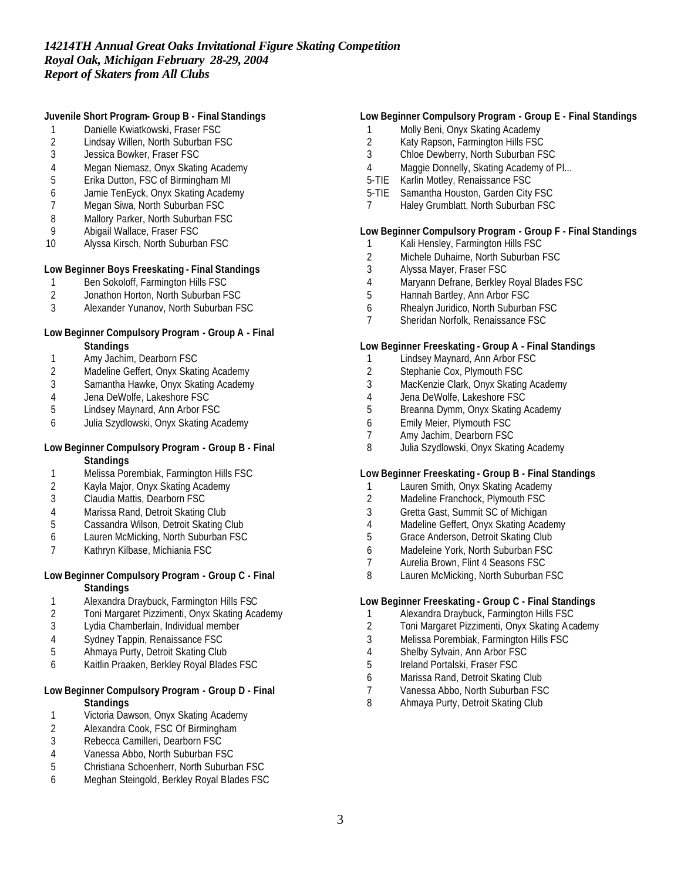## **Juvenile Short Program- Group B - Final Standings**

- 1 Danielle Kwiatkowski, Fraser FSC
- 2 Lindsay Willen, North Suburban FSC<br>3 Jessica Bowker, Fraser FSC
- Jessica Bowker, Fraser FSC
- 4 Megan Niemasz, Onyx Skating Academy
- 5 Erika Dutton, FSC of Birmingham MI
- 6 Jamie TenEyck, Onyx Skating Academy
- Megan Siwa, North Suburban FSC
- 8 Mallory Parker, North Suburban FSC<br>9 Abigail Wallace, Fraser FSC
- Abigail Wallace, Fraser FSC
- 10 Alyssa Kirsch, North Suburban FSC

## **Low Beginner Boys Freeskating - Final Standings**

- 1 Ben Sokoloff, Farmington Hills FSC
- 2 Jonathon Horton, North Suburban FSC<br>3 Alexander Yunanov, North Suburban FS
- 3 Alexander Yunanov, North Suburban FSC

### **Low Beginner Compulsory Program - Group A - Final Standings**

- 
- 1 Amy Jachim, Dearborn FSC<br>2 Madeline Geffert, Onyx Skati Madeline Geffert, Onyx Skating Academy
- 3 Samantha Hawke, Onyx Skating Academy
- 4 Jena DeWolfe, Lakeshore FSC<br>5 Lindsey Maynard, Ann Arbor FS
- 5 Lindsey Maynard, Ann Arbor FSC
- 6 Julia Szydlowski, Onyx Skating Academy

## **Low Beginner Compulsory Program - Group B - Final Standings**

- 1 Melissa Porembiak, Farmington Hills FSC<br>2 Kayla Major, Onyx Skating Academy
- 2 Kayla Major, Onyx Skating Academy<br>3 Claudia Mattis, Dearborn FSC
- Claudia Mattis, Dearborn FSC
- 4 Marissa Rand, Detroit Skating Club
- 5 Cassandra Wilson, Detroit Skating Club
- 6 Lauren McMicking, North Suburban FSC
- 7 Kathryn Kilbase, Michiania FSC

## **Low Beginner Compulsory Program - Group C - Final Standings**

- 1 Alexandra Draybuck, Farmington Hills FSC
- 2 Toni Margaret Pizzimenti, Onyx Skating Academy
- Lydia Chamberlain, Individual member
- 4 Sydney Tappin, Renaissance FSC
- 5 Ahmaya Purty, Detroit Skating Club
- 6 Kaitlin Praaken, Berkley Royal Blades FSC

## **Low Beginner Compulsory Program - Group D - Final Standings**

- 1 Victoria Dawson, Onyx Skating Academy
- 2 Alexandra Cook, FSC Of Birmingham<br>3 Rebecca Camilleri, Dearborn FSC
- Rebecca Camilleri, Dearborn FSC
- 4 Vanessa Abbo, North Suburban FSC
- 5 Christiana Schoenherr, North Suburban FSC
- 6 Meghan Steingold, Berkley Royal Blades FSC

## **Low Beginner Compulsory Program - Group E - Final Standings**

- 1 Molly Beni, Onyx Skating Academy
- 2 Katy Rapson, Farmington Hills FSC<br>3 Chloe Dewberry, North Suburban FS
- Chloe Dewberry, North Suburban FSC
- 4 Maggie Donnelly, Skating Academy of Pl...
- 5-TIE Karlin Motley, Renaissance FSC
- 5-TIE Samantha Houston, Garden City FSC
- 7 Haley Grumblatt, North Suburban FSC

## **Low Beginner Compulsory Program - Group F - Final Standings**

- 1 Kali Hensley, Farmington Hills FSC
- 2 Michele Duhaime, North Suburban FSC<br>3 Alyssa Mayer, Fraser FSC
- 3 Alyssa Mayer, Fraser FSC
- 4 Maryann Defrane, Berkley Royal Blades FSC
- 5 Hannah Bartley, Ann Arbor FSC
- 6 Rhealyn Juridico, North Suburban FSC
- 7 Sheridan Norfolk, Renaissance FSC

### **Low Beginner Freeskating - Group A - Final Standings**

- 1 Lindsey Maynard, Ann Arbor FSC
- 2 Stephanie Cox, Plymouth FSC
- 3 MacKenzie Clark, Onyx Skating Academy
- 4 Jena DeWolfe, Lakeshore FSC<br>5 Breanna Dymm, Onyx Skating A
- 5 Breanna Dymm, Onyx Skating Academy
- 6 Emily Meier, Plymouth FSC
- 7 Amy Jachim, Dearborn FSC
- 8 Julia Szydlowski, Onyx Skating Academy

## **Low Beginner Freeskating - Group B - Final Standings**

- 1 Lauren Smith, Onyx Skating Academy<br>2 Madeline Franchock, Plymouth FSC
- 2 Madeline Franchock, Plymouth FSC
- 3 Gretta Gast, Summit SC of Michigan
- 4 Madeline Geffert, Onyx Skating Academy
- 5 Grace Anderson, Detroit Skating Club
- 6 Madeleine York, North Suburban FSC
- 7 Aurelia Brown, Flint 4 Seasons FSC
- 8 Lauren McMicking, North Suburban FSC

## **Low Beginner Freeskating - Group C - Final Standings**

- 1 Alexandra Draybuck, Farmington Hills FSC
- 2 Toni Margaret Pizzimenti, Onyx Skating Academy
- 3 Melissa Porembiak, Farmington Hills FSC
- 4 Shelby Sylvain, Ann Arbor FSC
- 5 Ireland Portalski, Fraser FSC
- 6 Marissa Rand, Detroit Skating Club
- 7 Vanessa Abbo, North Suburban FSC
- 8 Ahmaya Purty, Detroit Skating Club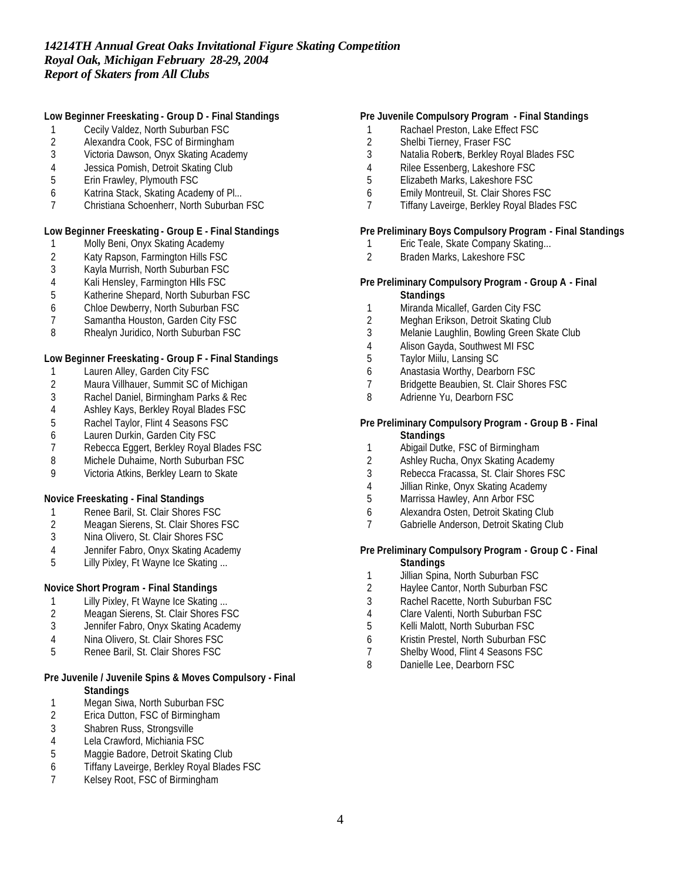## **Low Beginner Freeskating - Group D - Final Standings**

- 1 Cecily Valdez, North Suburban FSC
- 2 Alexandra Cook, FSC of Birmingham<br>3 Victoria Dawson, Onvx Skating Acader
- 3 Victoria Dawson, Onyx Skating Academy
- 4 Jessica Pomish, Detroit Skating Club<br>5 Erin Frawley, Plymouth FSC
- 5 Erin Frawley, Plymouth FSC
- 6 Katrina Stack, Skating Academy of Pl...
- 7 Christiana Schoenherr, North Suburban FSC

## **Low Beginner Freeskating - Group E - Final Standings**

- 1 Molly Beni, Onyx Skating Academy
- 2 Katy Rapson, Farmington Hills FSC<br>3 Kayla Murrish, North Suburban FSC
- 3 Kayla Murrish, North Suburban FSC
- 4 Kali Hensley, Farmington Hills FSC
- 5 Katherine Shepard, North Suburban FSC
- 6 Chloe Dewberry, North Suburban FSC
- 7 Samantha Houston, Garden City FSC
- 8 Rhealyn Juridico, North Suburban FSC

## **Low Beginner Freeskating - Group F - Final Standings**

- 1 Lauren Alley, Garden City FSC
- 2 Maura Villhauer, Summit SC of Michigan<br>3 Rachel Daniel, Birmingham Parks & Rec
- 3 Rachel Daniel, Birmingham Parks & Rec
- 4 Ashley Kays, Berkley Royal Blades FSC
- 5 Rachel Taylor, Flint 4 Seasons FSC
- 6 Lauren Durkin, Garden City FSC
- 7 Rebecca Eggert, Berkley Royal Blades FSC
- 8 Michele Duhaime, North Suburban FSC
- 9 Victoria Atkins, Berkley Learn to Skate

## **Novice Freeskating - Final Standings**

- 
- 1 Renee Baril, St. Clair Shores FSC<br>2 Meagan Sierens, St. Clair Shores I Meagan Sierens, St. Clair Shores FSC
- 3 Nina Olivero, St. Clair Shores FSC
- 4 Jennifer Fabro, Onyx Skating Academy
- 5 Lilly Pixley, Ft Wayne Ice Skating ...

## **Novice Short Program - Final Standings**

- 1 Lilly Pixley, Ft Wayne Ice Skating ...<br>2 Meagan Sierens, St. Clair Shores FS
- 2 Meagan Sierens, St. Clair Shores FSC<br>3 Jennifer Fabro, Onyx Skating Academy
- Jennifer Fabro, Onyx Skating Academy
- 4 Nina Olivero, St. Clair Shores FSC
- 5 Renee Baril, St. Clair Shores FSC

## **Pre Juvenile / Juvenile Spins & Moves Compulsory - Final Standings**

- 1 Megan Siwa, North Suburban FSC<br>2 Erica Dutton, FSC of Birmingham
- Erica Dutton, FSC of Birmingham
- 3 Shabren Russ, Strongsville<br>4 Lela Crawford, Michiania FS
- 4 Lela Crawford, Michiania FSC<br>5 Maggie Badore, Detroit Skatin
- Maggie Badore, Detroit Skating Club
- 6 Tiffany Laveirge, Berkley Royal Blades FSC
- Kelsey Root, FSC of Birmingham

## **Pre Juvenile Compulsory Program - Final Standings**

- 1 Rachael Preston, Lake Effect FSC
- 2 Shelbi Tierney, Fraser FSC<br>3 Natalia Roberts, Berkley Roy
- Natalia Roberts, Berkley Royal Blades FSC
- 4 Rilee Essenberg, Lakeshore FSC
- 5 Elizabeth Marks, Lakeshore FSC
- 6 Emily Montreuil, St. Clair Shores FSC
- 7 Tiffany Laveirge, Berkley Royal Blades FSC

### **Pre Preliminary Boys Compulsory Program - Final Standings**

- Eric Teale, Skate Company Skating...
- 2 Braden Marks, Lakeshore FSC

### **Pre Preliminary Compulsory Program - Group A - Final Standings**

- 1 Miranda Micallef, Garden City FSC
- 2 Meghan Erikson, Detroit Skating Club
- 3 Melanie Laughlin, Bowling Green Skate Club
- 4 Alison Gayda, Southwest MI FSC
- 5 Taylor Miilu, Lansing SC
- 6 Anastasia Worthy, Dearborn FSC
- 7 Bridgette Beaubien, St. Clair Shores FSC
- 8 Adrienne Yu, Dearborn FSC

#### **Pre Preliminary Compulsory Program - Group B - Final Standings**

- 1 Abigail Dutke, FSC of Birmingham
- 2 Ashley Rucha, Onyx Skating Academy
- 3 Rebecca Fracassa, St. Clair Shores FSC
- 4 Jillian Rinke, Onyx Skating Academy
- 5 Marrissa Hawley, Ann Arbor FSC
- 6 Alexandra Osten, Detroit Skating Club
- 7 Gabrielle Anderson, Detroit Skating Club

#### **Pre Preliminary Compulsory Program - Group C - Final Standings**

- 1 Jillian Spina, North Suburban FSC
- 2 Haylee Cantor, North Suburban FSC
- 3 Rachel Racette, North Suburban FSC
- 4 Clare Valenti, North Suburban FSC
- 5 Kelli Malott, North Suburban FSC
- 6 Kristin Prestel, North Suburban FSC
- 7 Shelby Wood, Flint 4 Seasons FSC
- 8 Danielle Lee, Dearborn FSC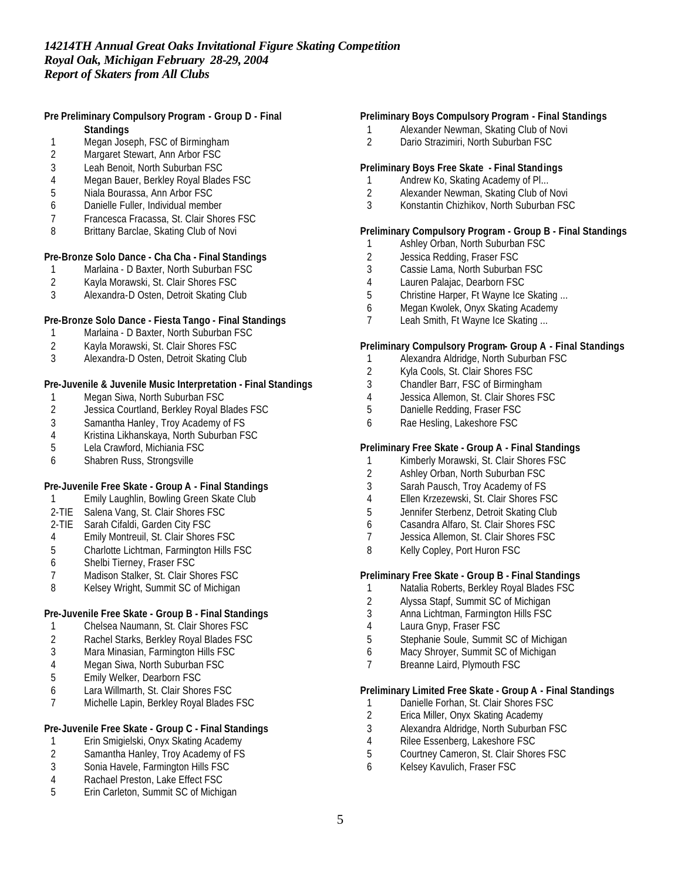## **Pre Preliminary Compulsory Program - Group D - Final Standings**

- 1 Megan Joseph, FSC of Birmingham<br>2 Margaret Stewart, Ann Arbor FSC
- Margaret Stewart, Ann Arbor FSC
- Leah Benoit, North Suburban FSC
- Megan Bauer, Berkley Royal Blades FSC
- Niala Bourassa, Ann Arbor FSC
- Danielle Fuller, Individual member
- Francesca Fracassa, St. Clair Shores FSC
- Brittany Barclae, Skating Club of Novi

## **Pre-Bronze Solo Dance - Cha Cha - Final Standings**

- Marlaina D Baxter, North Suburban FSC
- Kayla Morawski, St. Clair Shores FSC
- Alexandra-D Osten, Detroit Skating Club

## **Pre-Bronze Solo Dance - Fiesta Tango - Final Standings**

- Marlaina D Baxter, North Suburban FSC
- Kayla Morawski, St. Clair Shores FSC
- Alexandra-D Osten, Detroit Skating Club

## **Pre-Juvenile & Juvenile Music Interpretation - Final Standings**

- 
- 1 Megan Siwa, North Suburban FSC<br>2 Jessica Courtland, Berkley Royal B Jessica Courtland, Berkley Royal Blades FSC
- 3 Samantha Hanley, Troy Academy of FS<br>4 Kristina Likhanskava, North Suburban FS
- Kristina Likhanskaya, North Suburban FSC
- Lela Crawford, Michiania FSC
- Shabren Russ, Strongsville

## **Pre-Juvenile Free Skate - Group A - Final Standings**

- Emily Laughlin, Bowling Green Skate Club
- 2-TIE Salena Vang, St. Clair Shores FSC
- 2-TIE Sarah Cifaldi, Garden City FSC
- Emily Montreuil, St. Clair Shores FSC
- Charlotte Lichtman, Farmington Hills FSC
- Shelbi Tierney, Fraser FSC
- Madison Stalker, St. Clair Shores FSC
- Kelsey Wright, Summit SC of Michigan

## **Pre-Juvenile Free Skate - Group B - Final Standings**

- Chelsea Naumann, St. Clair Shores FSC
- Rachel Starks, Berkley Royal Blades FSC
- Mara Minasian, Farmington Hills FSC
- Megan Siwa, North Suburban FSC
- Emily Welker, Dearborn FSC
- Lara Willmarth, St. Clair Shores FSC
- Michelle Lapin, Berkley Royal Blades FSC

## **Pre-Juvenile Free Skate - Group C - Final Standings**

- 1 Erin Smigielski, Onyx Skating Academy<br>2 Samantha Hanley, Troy Academy of FS
- Samantha Hanley, Troy Academy of FS
- Sonia Havele, Farmington Hills FSC
- Rachael Preston, Lake Effect FSC
- Erin Carleton, Summit SC of Michigan

### **Preliminary Boys Compulsory Program - Final Standings**

- Alexander Newman, Skating Club of Novi
- Dario Strazimiri, North Suburban FSC

### **Preliminary Boys Free Skate - Final Standings**

- 1 Andrew Ko, Skating Academy of Pl...<br>2 Alexander Newman, Skating Club of
- 2 Alexander Newman, Skating Club of Novi<br>3 Konstantin Chizhikov, North Suburban ESC
- Konstantin Chizhikov, North Suburban FSC

## **Preliminary Compulsory Program - Group B - Final Standings**

- Ashley Orban, North Suburban FSC
- 2 Jessica Redding, Fraser FSC<br>3 Cassie Lama, North Suburbar
- Cassie Lama, North Suburban FSC
- Lauren Palajac, Dearborn FSC
- Christine Harper, Ft Wayne Ice Skating ...
- Megan Kwolek, Onyx Skating Academy
- 7 Leah Smith, Ft Wayne Ice Skating ...

### **Preliminary Compulsory Program- Group A - Final Standings**

- Alexandra Aldridge, North Suburban FSC
- Kyla Cools, St. Clair Shores FSC
- Chandler Barr, FSC of Birmingham
- Jessica Allemon, St. Clair Shores FSC
- Danielle Redding, Fraser FSC
- Rae Hesling, Lakeshore FSC

## **Preliminary Free Skate - Group A - Final Standings**

- Kimberly Morawski, St. Clair Shores FSC
- Ashley Orban, North Suburban FSC
- Sarah Pausch, Troy Academy of FS
- Ellen Krzezewski, St. Clair Shores FSC
- Jennifer Sterbenz, Detroit Skating Club
- Casandra Alfaro, St. Clair Shores FSC
- Jessica Allemon, St. Clair Shores FSC
- 8 Kelly Copley, Port Huron FSC

## **Preliminary Free Skate - Group B - Final Standings**

- 1 Natalia Roberts, Berkley Royal Blades FSC
- Alyssa Stapf, Summit SC of Michigan
- Anna Lichtman, Farmington Hills FSC
- Laura Gnyp, Fraser FSC
- Stephanie Soule, Summit SC of Michigan
- Macy Shroyer, Summit SC of Michigan
- Breanne Laird, Plymouth FSC

### **Preliminary Limited Free Skate - Group A - Final Standings**

- 1 Danielle Forhan, St. Clair Shores FSC<br>2 Erica Miller, Onyx Skating Academy
- Erica Miller, Onyx Skating Academy
- Alexandra Aldridge, North Suburban FSC
- 4 Rilee Essenberg, Lakeshore FSC<br>5 Courtney Cameron, St. Clair Shore
- Courtney Cameron, St. Clair Shores FSC
- Kelsey Kavulich, Fraser FSC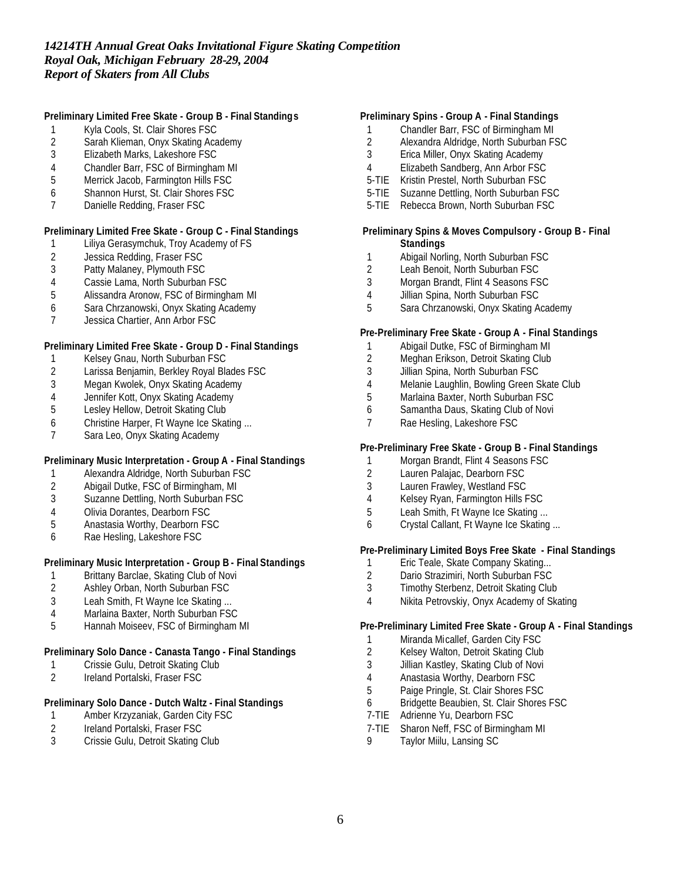## **Preliminary Limited Free Skate - Group B - Final Standings**

- 1 Kyla Cools, St. Clair Shores FSC
- 2 Sarah Klieman, Onyx Skating Academy<br>3 Elizabeth Marks, Lakeshore FSC
- Elizabeth Marks, Lakeshore FSC
- 4 Chandler Barr, FSC of Birmingham MI<br>5 Merrick Jacob, Farmington Hills FSC
- 5 Merrick Jacob, Farmington Hills FSC
- 6 Shannon Hurst, St. Clair Shores FSC
- 7 Danielle Redding, Fraser FSC

### **Preliminary Limited Free Skate - Group C - Final Standings**

- Liliya Gerasymchuk, Troy Academy of FS
- 2 Jessica Redding, Fraser FSC<br>3 Patty Malaney, Plymouth FSC
- Patty Malaney, Plymouth FSC
- 4 Cassie Lama, North Suburban FSC
- 5 Alissandra Aronow, FSC of Birmingham MI
- 6 Sara Chrzanowski, Onyx Skating Academy
- 7 Jessica Chartier, Ann Arbor FSC

### **Preliminary Limited Free Skate - Group D - Final Standings**

- 1 Kelsey Gnau, North Suburban FSC
- 2 Larissa Benjamin, Berkley Royal Blades FSC
- 
- 3 Megan Kwolek, Onyx Skating Academy 4 Jennifer Kott, Onyx Skating Academy<br>5 Lesley Hellow, Detroit Skating Club
- Lesley Hellow, Detroit Skating Club
- 6 Christine Harper, Ft Wayne Ice Skating ...
- 7 Sara Leo, Onyx Skating Academy

## **Preliminary Music Interpretation - Group A - Final Standings**

- 1 Alexandra Aldridge, North Suburban FSC<br>2 Abigail Dutke, FSC of Birmingham, MI
- 2 Abigail Dutke, FSC of Birmingham, MI<br>3 Suzanne Dettling, North Suburban FSC
- 3 Suzanne Dettling, North Suburban FSC
- 4 Olivia Dorantes, Dearborn FSC
- 5 Anastasia Worthy, Dearborn FSC
- 6 Rae Hesling, Lakeshore FSC

## **Preliminary Music Interpretation - Group B - Final Standings**

- 1 Brittany Barclae, Skating Club of Novi
- 2 Ashley Orban, North Suburban FSC
- 3 Leah Smith, Ft Wayne Ice Skating ...
- 4 Marlaina Baxter, North Suburban FSC
- 5 Hannah Moiseev, FSC of Birmingham MI

#### **Preliminary Solo Dance - Canasta Tango - Final Standings**

- 1 Crissie Gulu, Detroit Skating Club
- 2 Ireland Portalski, Fraser FSC

## **Preliminary Solo Dance - Dutch Waltz - Final Standings**

- 1 Amber Krzyzaniak, Garden City FSC
- 2 Ireland Portalski, Fraser FSC<br>3 Crissie Gulu, Detroit Skating C
- Crissie Gulu, Detroit Skating Club

### **Preliminary Spins - Group A - Final Standings**

- 1 Chandler Barr, FSC of Birmingham MI
- 2 Alexandra Aldridge, North Suburban FSC<br>3 Erica Miller, Onvx Skating Academy
- 3 Erica Miller, Onyx Skating Academy
- 4 Elizabeth Sandberg, Ann Arbor FSC
- 5-TIE Kristin Prestel, North Suburban FSC
- 5-TIE Suzanne Dettling, North Suburban FSC
- 5-TIE Rebecca Brown, North Suburban FSC

#### **Preliminary Spins & Moves Compulsory - Group B - Final Standings**

- 1 Abigail Norling, North Suburban FSC<br>2 Leah Benoit, North Suburban FSC
- Leah Benoit, North Suburban FSC
- 3 Morgan Brandt, Flint 4 Seasons FSC
- 4 Jillian Spina, North Suburban FSC
- 5 Sara Chrzanowski, Onyx Skating Academy

### **Pre-Preliminary Free Skate - Group A - Final Standings**

- 1 Abigail Dutke, FSC of Birmingham MI
- 2 Meghan Erikson, Detroit Skating Club
- 3 Jillian Spina, North Suburban FSC
- 4 Melanie Laughlin, Bowling Green Skate Club
- 5 Marlaina Baxter, North Suburban FSC
- 6 Samantha Daus, Skating Club of Novi
- 7 Rae Hesling, Lakeshore FSC

## **Pre-Preliminary Free Skate - Group B - Final Standings**

- 1 Morgan Brandt, Flint 4 Seasons FSC
- 2 Lauren Palajac, Dearborn FSC
- 3 Lauren Frawley, Westland FSC
- 4 Kelsey Ryan, Farmington Hills FSC
- 5 Leah Smith, Ft Wayne Ice Skating ...
- 6 Crystal Callant, Ft Wayne Ice Skating ...

## **Pre-Preliminary Limited Boys Free Skate - Final Standings**

- 
- 1 Eric Teale, Skate Company Skating...<br>2 Dario Strazimiri, North Suburban FSC Dario Strazimiri, North Suburban FSC
- 3 Timothy Sterbenz, Detroit Skating Club
- 4 Nikita Petrovskiy, Onyx Academy of Skating

## **Pre-Preliminary Limited Free Skate - Group A - Final Standings**

- 1 Miranda Micallef, Garden City FSC
- 2 Kelsey Walton, Detroit Skating Club
- 3 Jillian Kastley, Skating Club of Novi
- 4 Anastasia Worthy, Dearborn FSC
- 5 Paige Pringle, St. Clair Shores FSC
- 6 Bridgette Beaubien, St. Clair Shores FSC
- 7-TIE Adrienne Yu, Dearborn FSC
- 7-TIE Sharon Neff, FSC of Birmingham MI
- 9 Taylor Miilu, Lansing SC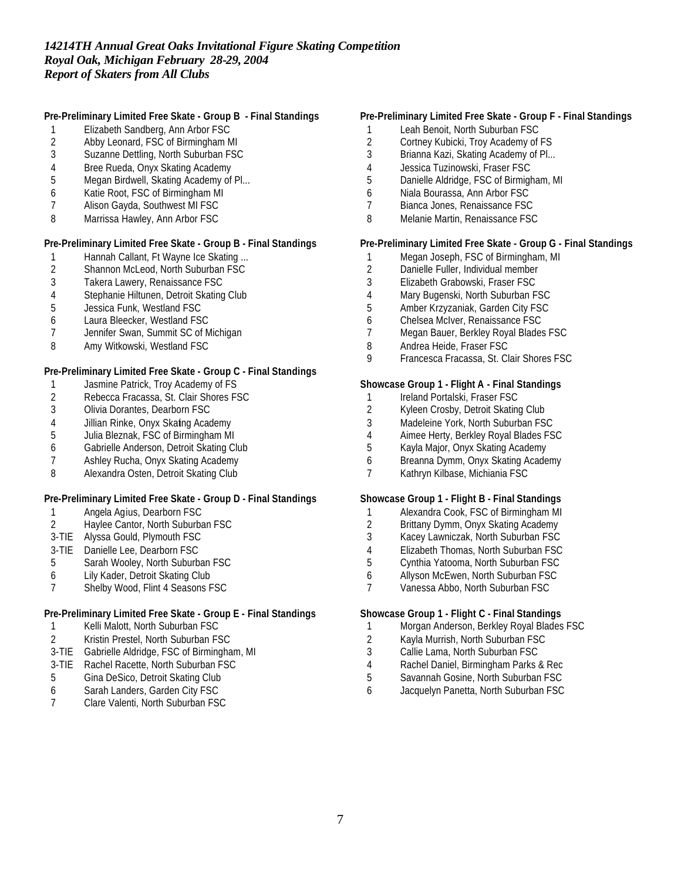## **Pre-Preliminary Limited Free Skate - Group B - Final Standings**

- 1 Elizabeth Sandberg, Ann Arbor FSC
- 2 Abby Leonard, FSC of Birmingham MI<br>3 Suzanne Dettling, North Suburban FSC
- Suzanne Dettling, North Suburban FSC
- 4 Bree Rueda, Onyx Skating Academy
- 5 Megan Birdwell, Skating Academy of Pl...
- 6 Katie Root, FSC of Birmingham MI
- 7 Alison Gayda, Southwest MI FSC
- 8 Marrissa Hawley, Ann Arbor FSC

### **Pre-Preliminary Limited Free Skate - Group B - Final Standings**

- 1 Hannah Callant, Ft Wayne Ice Skating ...<br>2 Shannon McLeod, North Suburban FSC
- 2 Shannon McLeod, North Suburban FSC<br>3 Takera Lawery, Renaissance FSC
- Takera Lawery, Renaissance FSC
- 4 Stephanie Hiltunen, Detroit Skating Club<br>5 Jessica Funk, Westland FSC
- 5 Jessica Funk, Westland FSC
- 6 Laura Bleecker, Westland FSC
- 7 Jennifer Swan, Summit SC of Michigan
- 8 Amy Witkowski, Westland FSC

## **Pre-Preliminary Limited Free Skate - Group C - Final Standings**

- 1 Jasmine Patrick, Troy Academy of FS
- 2 Rebecca Fracassa, St. Clair Shores FSC<br>3 Olivia Dorantes, Dearborn FSC
- Olivia Dorantes, Dearborn FSC
- 4 Jillian Rinke, Onyx Skating Academy
- 5 Julia Bleznak, FSC of Birmingham MI
- 6 Gabrielle Anderson, Detroit Skating Club
- 7 Ashley Rucha, Onyx Skating Academy
- 8 Alexandra Osten, Detroit Skating Club

### **Pre-Preliminary Limited Free Skate - Group D - Final Standings**

- 1 Angela Agius, Dearborn FSC
- 2 Haylee Cantor, North Suburban FSC
- 3-TIE Alyssa Gould, Plymouth FSC
- 3-TIE Danielle Lee, Dearborn FSC
- 5 Sarah Wooley, North Suburban FSC
- 6 Lily Kader, Detroit Skating Club
- 7 Shelby Wood, Flint 4 Seasons FSC

## **Pre-Preliminary Limited Free Skate - Group E - Final Standings**

- 1 Kelli Malott, North Suburban FSC
- 2 Kristin Prestel, North Suburban FSC
- 3-TIE Gabrielle Aldridge, FSC of Birmingham, MI
- 3-TIE Rachel Racette, North Suburban FSC
- 5 Gina DeSico, Detroit Skating Club
- 6 Sarah Landers, Garden City FSC<br>7 Clare Valenti. North Suburban FSG
- Clare Valenti, North Suburban FSC

## **Pre-Preliminary Limited Free Skate - Group F - Final Standings**

- 1 Leah Benoit, North Suburban FSC
- 2 Cortney Kubicki, Troy Academy of FS<br>3 Brianna Kazi. Skating Academy of Pl...
- Brianna Kazi, Skating Academy of Pl...
- 4 Jessica Tuzinowski, Fraser FSC
- 5 Danielle Aldridge, FSC of Birmigham, MI
- 6 Niala Bourassa, Ann Arbor FSC
- 7 Bianca Jones, Renaissance FSC
- 8 Melanie Martin, Renaissance FSC

## **Pre-Preliminary Limited Free Skate - Group G - Final Standings**

- 1 Megan Joseph, FSC of Birmingham, MI<br>2 Danielle Fuller, Individual member
- 2 Danielle Fuller, Individual member<br>3 Elizabeth Grabowski, Fraser FSC
- 3 Elizabeth Grabowski, Fraser FSC
- 4 Mary Bugenski, North Suburban FSC
- 5 Amber Krzyzaniak, Garden City FSC
- 6 Chelsea McIver, Renaissance FSC
- 7 Megan Bauer, Berkley Royal Blades FSC
- 8 Andrea Heide, Fraser FSC
- 9 Francesca Fracassa, St. Clair Shores FSC

### **Showcase Group 1 - Flight A - Final Standings**

- 1 Ireland Portalski, Fraser FSC<br>2 Kyleen Crosby, Detroit Skating
- Kyleen Crosby, Detroit Skating Club
- 3 Madeleine York, North Suburban FSC
- 4 Aimee Herty, Berkley Royal Blades FSC<br>5 Kavla Maior, Onvx Skating Academy
- 5 Kayla Major, Onyx Skating Academy
- 6 Breanna Dymm, Onyx Skating Academy
- 7 Kathryn Kilbase, Michiania FSC

### **Showcase Group 1 - Flight B - Final Standings**

- 1 Alexandra Cook, FSC of Birmingham MI
- 2 Brittany Dymm, Onyx Skating Academy
- 3 Kacey Lawniczak, North Suburban FSC
- 4 Elizabeth Thomas, North Suburban FSC<br>5 Cynthia Yatooma, North Suburban FSC
- 5 Cynthia Yatooma, North Suburban FSC
- 6 Allyson McEwen, North Suburban FSC
- 7 Vanessa Abbo, North Suburban FSC

### **Showcase Group 1 - Flight C - Final Standings**

- 1 Morgan Anderson, Berkley Royal Blades FSC
- 2 Kayla Murrish, North Suburban FSC
- 3 Callie Lama, North Suburban FSC
- 4 Rachel Daniel, Birmingham Parks & Rec
- 5 Savannah Gosine, North Suburban FSC
- 6 Jacquelyn Panetta, North Suburban FSC